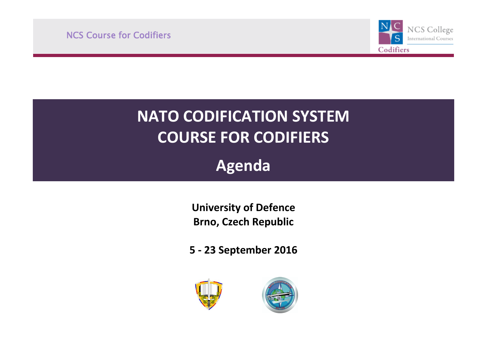NCS Course for Codifiers



# **NATO CODIFICATION SYSTEM COURSE FOR CODIFIERS**

**Agenda**

**University of Defence Brno, Czech Republic**

**5 - 23 September 2016**



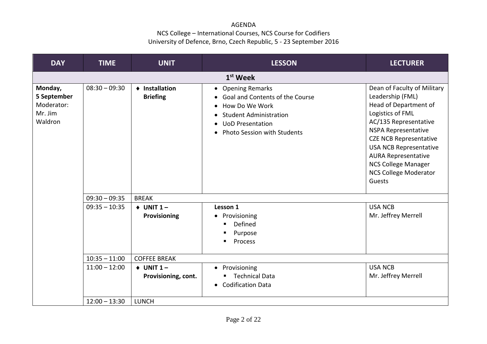| <b>DAY</b>                                                 | <b>TIME</b>     | <b>UNIT</b>                         | <b>LESSON</b>                                                                                                                                                                                   | <b>LECTURER</b>                                                                                                                                                                                                                                                                                                      |
|------------------------------------------------------------|-----------------|-------------------------------------|-------------------------------------------------------------------------------------------------------------------------------------------------------------------------------------------------|----------------------------------------------------------------------------------------------------------------------------------------------------------------------------------------------------------------------------------------------------------------------------------------------------------------------|
|                                                            |                 |                                     | $1st$ Week                                                                                                                                                                                      |                                                                                                                                                                                                                                                                                                                      |
| Monday,<br>5 September<br>Moderator:<br>Mr. Jim<br>Waldron | $08:30 - 09:30$ | ♦ Installation<br><b>Briefing</b>   | • Opening Remarks<br>• Goal and Contents of the Course<br>How Do We Work<br>$\bullet$<br><b>Student Administration</b><br><b>UoD Presentation</b><br>$\bullet$<br>• Photo Session with Students | Dean of Faculty of Military<br>Leadership (FML)<br>Head of Department of<br>Logistics of FML<br>AC/135 Representative<br><b>NSPA Representative</b><br><b>CZE NCB Representative</b><br><b>USA NCB Representative</b><br><b>AURA Representative</b><br>NCS College Manager<br><b>NCS College Moderator</b><br>Guests |
|                                                            | $09:30 - 09:35$ | <b>BREAK</b>                        |                                                                                                                                                                                                 |                                                                                                                                                                                                                                                                                                                      |
|                                                            | $09:35 - 10:35$ | $+$ UNIT 1 -<br>Provisioning        | Lesson 1<br>Provisioning<br>$\bullet$<br>Defined<br>п<br>Purpose<br>Process                                                                                                                     | <b>USA NCB</b><br>Mr. Jeffrey Merrell                                                                                                                                                                                                                                                                                |
|                                                            | $10:35 - 11:00$ | <b>COFFEE BREAK</b>                 |                                                                                                                                                                                                 |                                                                                                                                                                                                                                                                                                                      |
|                                                            | $11:00 - 12:00$ | $+$ UNIT 1 -<br>Provisioning, cont. | • Provisioning<br><b>Technical Data</b><br>• Codification Data                                                                                                                                  | <b>USA NCB</b><br>Mr. Jeffrey Merrell                                                                                                                                                                                                                                                                                |
|                                                            | $12:00 - 13:30$ | <b>LUNCH</b>                        |                                                                                                                                                                                                 |                                                                                                                                                                                                                                                                                                                      |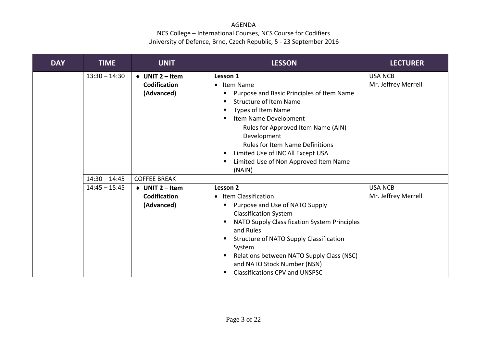| <b>DAY</b> | <b>TIME</b>     | <b>UNIT</b>                                                        | <b>LESSON</b>                                                                                                                                                                                                                                                                                                                                                          | <b>LECTURER</b>                       |
|------------|-----------------|--------------------------------------------------------------------|------------------------------------------------------------------------------------------------------------------------------------------------------------------------------------------------------------------------------------------------------------------------------------------------------------------------------------------------------------------------|---------------------------------------|
|            | $13:30 - 14:30$ | $\triangleleft$ UNIT 2 – Item<br><b>Codification</b><br>(Advanced) | Lesson 1<br>• Item Name<br>Purpose and Basic Principles of Item Name<br>п<br><b>Structure of Item Name</b><br>п<br>Types of Item Name<br>п<br>Item Name Development<br>п<br>- Rules for Approved Item Name (AIN)<br>Development<br>- Rules for Item Name Definitions<br>Limited Use of INC All Except USA<br>п<br>Limited Use of Non Approved Item Name<br>п<br>(NAIN) | <b>USA NCB</b><br>Mr. Jeffrey Merrell |
|            | $14:30 - 14:45$ | <b>COFFEE BREAK</b>                                                |                                                                                                                                                                                                                                                                                                                                                                        |                                       |
|            | $14:45 - 15:45$ | $\triangleleft$ UNIT 2 – Item<br>Codification<br>(Advanced)        | Lesson 2<br>• Item Classification<br>Purpose and Use of NATO Supply<br>п<br><b>Classification System</b><br>NATO Supply Classification System Principles<br>п<br>and Rules<br>Structure of NATO Supply Classification<br>п<br>System<br>Relations between NATO Supply Class (NSC)<br>п<br>and NATO Stock Number (NSN)<br><b>Classifications CPV and UNSPSC</b><br>п    | <b>USA NCB</b><br>Mr. Jeffrey Merrell |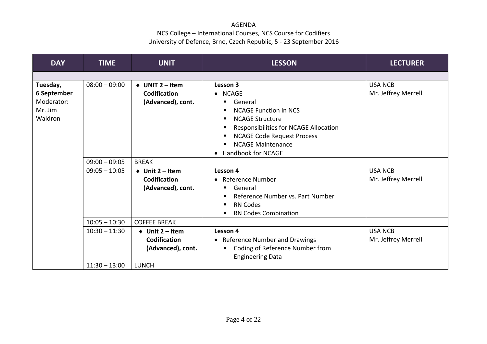| <b>DAY</b>  | <b>TIME</b>     | <b>UNIT</b>                   | <b>LESSON</b>                              | <b>LECTURER</b>     |
|-------------|-----------------|-------------------------------|--------------------------------------------|---------------------|
|             |                 |                               |                                            |                     |
| Tuesday,    | $08:00 - 09:00$ | $\triangleleft$ UNIT 2 – Item | Lesson 3                                   | <b>USA NCB</b>      |
| 6 September |                 | <b>Codification</b>           | • NCAGE                                    | Mr. Jeffrey Merrell |
| Moderator:  |                 | (Advanced), cont.             | General<br>п                               |                     |
| Mr. Jim     |                 |                               | <b>NCAGE Function in NCS</b><br>п          |                     |
| Waldron     |                 |                               | <b>NCAGE Structure</b><br>п                |                     |
|             |                 |                               | Responsibilities for NCAGE Allocation<br>п |                     |
|             |                 |                               | <b>NCAGE Code Request Process</b><br>п     |                     |
|             |                 |                               | <b>NCAGE Maintenance</b>                   |                     |
|             |                 |                               | Handbook for NCAGE                         |                     |
|             | $09:00 - 09:05$ | <b>BREAK</b>                  |                                            |                     |
|             | $09:05 - 10:05$ | $\triangle$ Unit 2 – Item     | Lesson 4                                   | <b>USA NCB</b>      |
|             |                 | <b>Codification</b>           | • Reference Number                         | Mr. Jeffrey Merrell |
|             |                 | (Advanced), cont.             | General<br>٠                               |                     |
|             |                 |                               | Reference Number vs. Part Number           |                     |
|             |                 |                               | <b>RN Codes</b><br>п                       |                     |
|             |                 |                               | <b>RN Codes Combination</b>                |                     |
|             | $10:05 - 10:30$ | <b>COFFEE BREAK</b>           |                                            |                     |
|             | $10:30 - 11:30$ | $\triangleleft$ Unit 2 – Item | Lesson 4                                   | <b>USA NCB</b>      |
|             |                 | Codification                  | • Reference Number and Drawings            | Mr. Jeffrey Merrell |
|             |                 | (Advanced), cont.             | Coding of Reference Number from            |                     |
|             |                 |                               | <b>Engineering Data</b>                    |                     |
|             | $11:30 - 13:00$ | <b>LUNCH</b>                  |                                            |                     |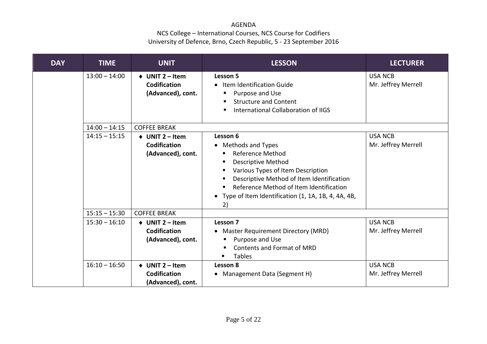| <b>DAY</b> | <b>TIME</b>     | <b>UNIT</b>                                                               | <b>LESSON</b>                                                                                                                                                                                                                                                                                | <b>LECTURER</b>                       |
|------------|-----------------|---------------------------------------------------------------------------|----------------------------------------------------------------------------------------------------------------------------------------------------------------------------------------------------------------------------------------------------------------------------------------------|---------------------------------------|
|            | $13:00 - 14:00$ | $\triangleleft$ UNIT 2 – Item<br>Codification<br>(Advanced), cont.        | Lesson 5<br>• Item Identification Guide<br>Purpose and Use<br>п<br><b>Structure and Content</b><br>п<br>International Collaboration of IIGS<br>п                                                                                                                                             | <b>USA NCB</b><br>Mr. Jeffrey Merrell |
|            | $14:00 - 14:15$ | <b>COFFEE BREAK</b>                                                       |                                                                                                                                                                                                                                                                                              |                                       |
|            | $14:15 - 15:15$ | $\triangleleft$ UNIT 2 – Item<br><b>Codification</b><br>(Advanced), cont. | Lesson 6<br>• Methods and Types<br><b>Reference Method</b><br><b>Descriptive Method</b><br>٠<br>Various Types of Item Description<br>Descriptive Method of Item Identification<br>Reference Method of Item Identification<br>٠<br>• Type of Item Identification (1, 1A, 1B, 4, 4A, 4B,<br>2) | <b>USA NCB</b><br>Mr. Jeffrey Merrell |
|            | $15:15 - 15:30$ | <b>COFFEE BREAK</b>                                                       |                                                                                                                                                                                                                                                                                              |                                       |
|            | $15:30 - 16:10$ | $\triangleleft$ UNIT 2 – Item<br><b>Codification</b><br>(Advanced), cont. | Lesson 7<br>• Master Requirement Directory (MRD)<br>Purpose and Use<br>п<br>Contents and Format of MRD<br><b>Tables</b>                                                                                                                                                                      | <b>USA NCB</b><br>Mr. Jeffrey Merrell |
|            | $16:10 - 16:50$ | $\triangleleft$ UNIT 2 – Item<br><b>Codification</b><br>(Advanced), cont. | Lesson 8<br>• Management Data (Segment H)                                                                                                                                                                                                                                                    | <b>USA NCB</b><br>Mr. Jeffrey Merrell |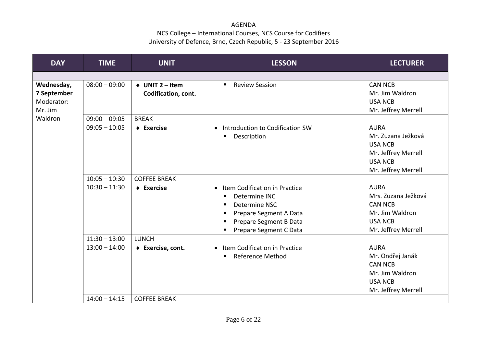| <b>DAY</b>                                         | <b>TIME</b>     | <b>UNIT</b>                                          | <b>LESSON</b>                                                                                                                                                       | <b>LECTURER</b>                                                                                                     |
|----------------------------------------------------|-----------------|------------------------------------------------------|---------------------------------------------------------------------------------------------------------------------------------------------------------------------|---------------------------------------------------------------------------------------------------------------------|
|                                                    |                 |                                                      |                                                                                                                                                                     |                                                                                                                     |
| Wednesday,<br>7 September<br>Moderator:<br>Mr. Jim | $08:00 - 09:00$ | $\triangleleft$ UNIT 2 – Item<br>Codification, cont. | <b>Review Session</b><br>$\blacksquare$                                                                                                                             | <b>CAN NCB</b><br>Mr. Jim Waldron<br><b>USA NCB</b><br>Mr. Jeffrey Merrell                                          |
| Waldron                                            | $09:00 - 09:05$ | <b>BREAK</b>                                         |                                                                                                                                                                     |                                                                                                                     |
|                                                    | $09:05 - 10:05$ | $\triangle$ Exercise                                 | • Introduction to Codification SW<br>Description<br>п                                                                                                               | <b>AURA</b><br>Mr. Zuzana Ježková<br><b>USA NCB</b><br>Mr. Jeffrey Merrell<br><b>USA NCB</b><br>Mr. Jeffrey Merrell |
|                                                    | $10:05 - 10:30$ | <b>COFFEE BREAK</b>                                  |                                                                                                                                                                     |                                                                                                                     |
|                                                    | $10:30 - 11:30$ | $\triangle$ Exercise                                 | • Item Codification in Practice<br>Determine INC<br>п<br>Determine NSC<br>п<br>Prepare Segment A Data<br>п<br>Prepare Segment B Data<br>л<br>Prepare Segment C Data | <b>AURA</b><br>Mrs. Zuzana Ježková<br><b>CAN NCB</b><br>Mr. Jim Waldron<br><b>USA NCB</b><br>Mr. Jeffrey Merrell    |
|                                                    | $11:30 - 13:00$ | <b>LUNCH</b>                                         |                                                                                                                                                                     |                                                                                                                     |
|                                                    | $13:00 - 14:00$ | ◆ Exercise, cont.                                    | • Item Codification in Practice<br>Reference Method<br>п                                                                                                            | <b>AURA</b><br>Mr. Ondřej Janák<br><b>CAN NCB</b><br>Mr. Jim Waldron<br><b>USA NCB</b><br>Mr. Jeffrey Merrell       |
|                                                    | $14:00 - 14:15$ | <b>COFFEE BREAK</b>                                  |                                                                                                                                                                     |                                                                                                                     |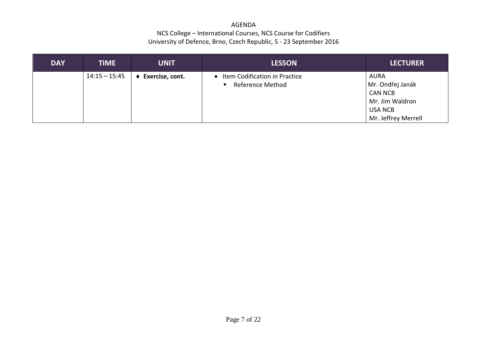| <b>DAY</b> | <b>TIME</b>     | <b>UNIT</b>     | <b>LESSON</b>                   | <b>LECTURER</b>     |
|------------|-----------------|-----------------|---------------------------------|---------------------|
|            | $14:15 - 15:45$ | Exercise, cont. | • Item Codification in Practice | <b>AURA</b>         |
|            |                 |                 | <b>Reference Method</b>         | Mr. Ondřej Janák    |
|            |                 |                 |                                 | <b>CAN NCB</b>      |
|            |                 |                 |                                 | Mr. Jim Waldron     |
|            |                 |                 |                                 | <b>USA NCB</b>      |
|            |                 |                 |                                 | Mr. Jeffrey Merrell |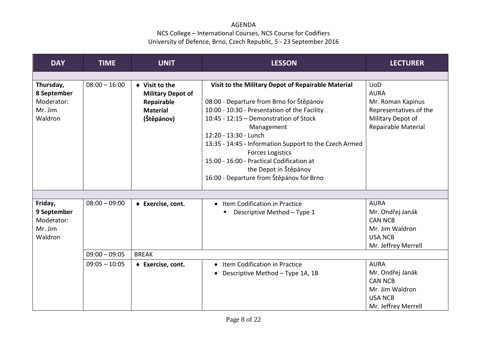| <b>DAY</b>                                                   | <b>TIME</b>     | <b>UNIT</b>                                                                                             | <b>LESSON</b>                                                                                                                                                                                                                                                                                                                                                                                                                          | <b>LECTURER</b>                                                                                                      |
|--------------------------------------------------------------|-----------------|---------------------------------------------------------------------------------------------------------|----------------------------------------------------------------------------------------------------------------------------------------------------------------------------------------------------------------------------------------------------------------------------------------------------------------------------------------------------------------------------------------------------------------------------------------|----------------------------------------------------------------------------------------------------------------------|
|                                                              |                 |                                                                                                         |                                                                                                                                                                                                                                                                                                                                                                                                                                        |                                                                                                                      |
| Thursday,<br>8 September<br>Moderator:<br>Mr. Jim<br>Waldron | $08:00 - 16:00$ | $\blacklozenge$ Visit to the<br><b>Military Depot of</b><br>Repairable<br><b>Material</b><br>(Štěpánov) | Visit to the Military Depot of Repairable Material<br>08:00 - Departure from Brno for Štěpánov<br>10:00 - 10:30 - Presentation of the Facility<br>10:45 - 12:15 - Demonstration of Stock<br>Management<br>12:20 - 13:30 - Lunch<br>13:35 - 14:45 - Information Support to the Czech Armed<br><b>Forces Logistics</b><br>15:00 - 16:00 - Practical Codification at<br>the Depot in Štěpánov<br>16:00 - Departure from Štěpánov for Brno | <b>UoD</b><br><b>AURA</b><br>Mr. Roman Kapinus<br>Representatives of the<br>Military Depot of<br>Repairable Material |
|                                                              |                 |                                                                                                         |                                                                                                                                                                                                                                                                                                                                                                                                                                        |                                                                                                                      |
| Friday,<br>9 September<br>Moderator:<br>Mr. Jim<br>Waldron   | $08:00 - 09:00$ | ◆ Exercise, cont.                                                                                       | • Item Codification in Practice<br>Descriptive Method - Type 1                                                                                                                                                                                                                                                                                                                                                                         | <b>AURA</b><br>Mr. Ondřej Janák<br><b>CAN NCB</b><br>Mr. Jim Waldron<br><b>USA NCB</b><br>Mr. Jeffrey Merrell        |
|                                                              | $09:00 - 09:05$ | <b>BREAK</b>                                                                                            |                                                                                                                                                                                                                                                                                                                                                                                                                                        |                                                                                                                      |
|                                                              | $09:05 - 10:05$ | ◆ Exercise, cont.                                                                                       | • Item Codification in Practice<br>Descriptive Method - Type 1A, 1B                                                                                                                                                                                                                                                                                                                                                                    | <b>AURA</b><br>Mr. Ondřej Janák<br><b>CAN NCB</b><br>Mr. Jim Waldron<br><b>USA NCB</b><br>Mr. Jeffrey Merrell        |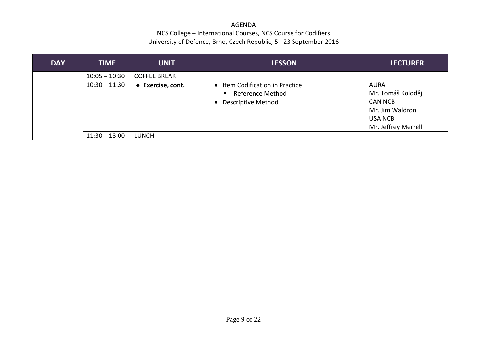| <b>DAY</b> | <b>TIME</b>     | <b>UNIT</b>         | <b>LESSON</b>                                                                                      | <b>LECTURER</b>                                                                                                |
|------------|-----------------|---------------------|----------------------------------------------------------------------------------------------------|----------------------------------------------------------------------------------------------------------------|
|            | $10:05 - 10:30$ | <b>COFFEE BREAK</b> |                                                                                                    |                                                                                                                |
|            | $10:30 - 11:30$ | ◆ Exercise, cont.   | • Item Codification in Practice<br>Reference Method<br>$\blacksquare$<br><b>Descriptive Method</b> | <b>AURA</b><br>Mr. Tomáš Koloděj<br><b>CAN NCB</b><br>Mr. Jim Waldron<br><b>USA NCB</b><br>Mr. Jeffrey Merrell |
|            | $11:30 - 13:00$ | <b>LUNCH</b>        |                                                                                                    |                                                                                                                |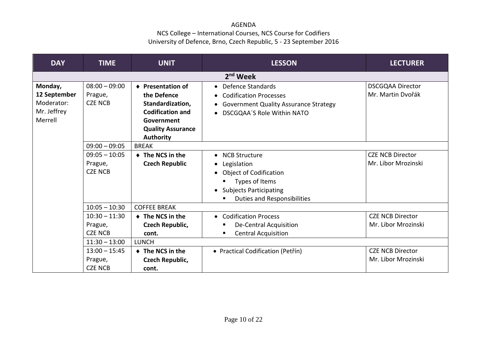| <b>DAY</b>                                                      | <b>TIME</b>                                                                                                     | <b>UNIT</b>                                                                                                                                   | <b>LESSON</b>                                                                                                                                                                      | <b>LECTURER</b>                                                                                  |  |  |  |
|-----------------------------------------------------------------|-----------------------------------------------------------------------------------------------------------------|-----------------------------------------------------------------------------------------------------------------------------------------------|------------------------------------------------------------------------------------------------------------------------------------------------------------------------------------|--------------------------------------------------------------------------------------------------|--|--|--|
|                                                                 | 2 <sup>nd</sup> Week                                                                                            |                                                                                                                                               |                                                                                                                                                                                    |                                                                                                  |  |  |  |
| Monday,<br>12 September<br>Moderator:<br>Mr. Jeffrey<br>Merrell | $08:00 - 09:00$<br>Prague,<br><b>CZE NCB</b>                                                                    | ♦ Presentation of<br>the Defence<br>Standardization,<br><b>Codification and</b><br>Government<br><b>Quality Assurance</b><br><b>Authority</b> | • Defence Standards<br><b>Codification Processes</b><br><b>Government Quality Assurance Strategy</b><br>DSCGQAA'S Role Within NATO                                                 | <b>DSCGQAA Director</b><br>Mr. Martin Dvořák                                                     |  |  |  |
|                                                                 | $09:00 - 09:05$                                                                                                 | <b>BREAK</b>                                                                                                                                  |                                                                                                                                                                                    |                                                                                                  |  |  |  |
|                                                                 | $09:05 - 10:05$<br>Prague,<br><b>CZE NCB</b>                                                                    | ♦ The NCS in the<br><b>Czech Republic</b>                                                                                                     | • NCB Structure<br>Legislation<br>$\bullet$<br><b>Object of Codification</b><br>Types of Items<br><b>Subjects Participating</b><br>$\bullet$<br><b>Duties and Responsibilities</b> | <b>CZE NCB Director</b><br>Mr. Libor Mrozinski                                                   |  |  |  |
|                                                                 | $10:05 - 10:30$                                                                                                 | <b>COFFEE BREAK</b>                                                                                                                           |                                                                                                                                                                                    |                                                                                                  |  |  |  |
|                                                                 | $10:30 - 11:30$<br>Prague,<br><b>CZE NCB</b><br>$11:30 - 13:00$<br>$13:00 - 15:45$<br>Prague,<br><b>CZE NCB</b> | $\bullet$ The NCS in the<br>Czech Republic,<br>cont.<br><b>LUNCH</b><br>$\triangle$ The NCS in the<br>Czech Republic,<br>cont.                | <b>Codification Process</b><br>$\bullet$<br>De-Central Acquisition<br><b>Central Acquisition</b><br>п<br>• Practical Codification (Petřín)                                         | <b>CZE NCB Director</b><br>Mr. Libor Mrozinski<br><b>CZE NCB Director</b><br>Mr. Libor Mrozinski |  |  |  |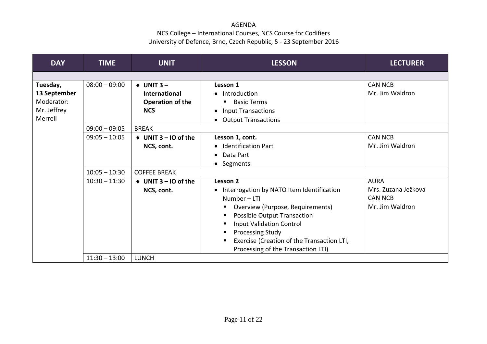| <b>DAY</b>   | <b>TIME</b>     | <b>UNIT</b>                        | <b>LESSON</b>                              | <b>LECTURER</b>     |
|--------------|-----------------|------------------------------------|--------------------------------------------|---------------------|
|              |                 |                                    |                                            |                     |
| Tuesday,     | $08:00 - 09:00$ | $+$ UNIT 3 –                       | Lesson 1                                   | <b>CAN NCB</b>      |
| 13 September |                 | <b>International</b>               | • Introduction                             | Mr. Jim Waldron     |
| Moderator:   |                 | <b>Operation of the</b>            | <b>Basic Terms</b>                         |                     |
| Mr. Jeffrey  |                 | <b>NCS</b>                         | <b>Input Transactions</b><br>$\bullet$     |                     |
| Merrell      |                 |                                    | <b>Output Transactions</b><br>$\bullet$    |                     |
|              | $09:00 - 09:05$ | <b>BREAK</b>                       |                                            |                     |
|              | $09:05 - 10:05$ | $\triangleleft$ UNIT 3 – IO of the | Lesson 1, cont.                            | <b>CAN NCB</b>      |
|              |                 | NCS, cont.                         | • Identification Part                      | Mr. Jim Waldron     |
|              |                 |                                    | Data Part<br>$\bullet$                     |                     |
|              |                 |                                    | • Segments                                 |                     |
|              | $10:05 - 10:30$ | <b>COFFEE BREAK</b>                |                                            |                     |
|              | $10:30 - 11:30$ | $\triangleleft$ UNIT 3 – 10 of the | Lesson 2                                   | <b>AURA</b>         |
|              |                 | NCS, cont.                         | Interrogation by NATO Item Identification  | Mrs. Zuzana Ježková |
|              |                 |                                    | Number-LTI                                 | <b>CAN NCB</b>      |
|              |                 |                                    | Overview (Purpose, Requirements)           | Mr. Jim Waldron     |
|              |                 |                                    | <b>Possible Output Transaction</b><br>п    |                     |
|              |                 |                                    | <b>Input Validation Control</b>            |                     |
|              |                 |                                    | <b>Processing Study</b><br>п               |                     |
|              |                 |                                    | Exercise (Creation of the Transaction LTI, |                     |
|              |                 |                                    | Processing of the Transaction LTI)         |                     |
|              | $11:30 - 13:00$ | <b>LUNCH</b>                       |                                            |                     |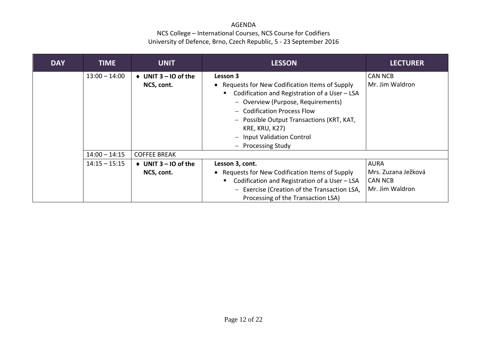| <b>DAY</b> | <b>TIME</b>     | <b>UNIT</b>                  | <b>LESSON</b>                                      | <b>LECTURER</b>     |
|------------|-----------------|------------------------------|----------------------------------------------------|---------------------|
|            | $13:00 - 14:00$ | $\bullet$ UNIT 3 – IO of the | Lesson 3                                           | <b>CAN NCB</b>      |
|            |                 | NCS, cont.                   | • Requests for New Codification Items of Supply    | Mr. Jim Waldron     |
|            |                 |                              | Codification and Registration of a User - LSA<br>٠ |                     |
|            |                 |                              | - Overview (Purpose, Requirements)                 |                     |
|            |                 |                              | - Codification Process Flow                        |                     |
|            |                 |                              | - Possible Output Transactions (KRT, KAT,          |                     |
|            |                 |                              | KRE, KRU, K27)                                     |                     |
|            |                 |                              | <b>Input Validation Control</b>                    |                     |
|            |                 |                              | <b>Processing Study</b>                            |                     |
|            | $14:00 - 14:15$ | <b>COFFEE BREAK</b>          |                                                    |                     |
|            | $14:15 - 15:15$ | $\bullet$ UNIT 3 – IO of the | Lesson 3, cont.                                    | AURA                |
|            |                 | NCS, cont.                   | • Requests for New Codification Items of Supply    | Mrs. Zuzana Ježková |
|            |                 |                              | Codification and Registration of a User - LSA<br>п | <b>CAN NCB</b>      |
|            |                 |                              | - Exercise (Creation of the Transaction LSA,       | Mr. Jim Waldron     |
|            |                 |                              | Processing of the Transaction LSA)                 |                     |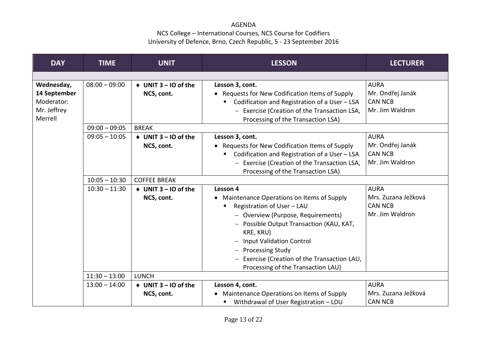| <b>DAY</b>                 | <b>TIME</b>     | <b>UNIT</b>                                      | <b>LESSON</b>                                                      | <b>LECTURER</b>                 |
|----------------------------|-----------------|--------------------------------------------------|--------------------------------------------------------------------|---------------------------------|
|                            |                 |                                                  |                                                                    |                                 |
| Wednesday,<br>14 September | $08:00 - 09:00$ | $\triangleleft$ UNIT 3 – IO of the<br>NCS, cont. | Lesson 3, cont.<br>• Requests for New Codification Items of Supply | <b>AURA</b><br>Mr. Ondřej Janák |
| Moderator:                 |                 |                                                  | Codification and Registration of a User - LSA                      | <b>CAN NCB</b>                  |
| Mr. Jeffrey                |                 |                                                  | - Exercise (Creation of the Transaction LSA,                       | Mr. Jim Waldron                 |
| Merrell                    |                 |                                                  | Processing of the Transaction LSA)                                 |                                 |
|                            | $09:00 - 09:05$ | <b>BREAK</b>                                     |                                                                    |                                 |
|                            | $09:05 - 10:05$ | $\triangleleft$ UNIT 3 - IO of the               | Lesson 3, cont.                                                    | <b>AURA</b>                     |
|                            |                 | NCS, cont.                                       | • Requests for New Codification Items of Supply                    | Mr. Ondřej Janák                |
|                            |                 |                                                  | Codification and Registration of a User - LSA                      | <b>CAN NCB</b>                  |
|                            |                 |                                                  | - Exercise (Creation of the Transaction LSA,                       | Mr. Jim Waldron                 |
|                            |                 |                                                  | Processing of the Transaction LSA)                                 |                                 |
|                            | $10:05 - 10:30$ | <b>COFFEE BREAK</b>                              |                                                                    |                                 |
|                            | $10:30 - 11:30$ | $\triangleleft$ UNIT 3 – IO of the               | Lesson 4                                                           | <b>AURA</b>                     |
|                            |                 | NCS, cont.                                       | • Maintenance Operations on Items of Supply                        | Mrs. Zuzana Ježková             |
|                            |                 |                                                  | Registration of User - LAU                                         | <b>CAN NCB</b>                  |
|                            |                 |                                                  | - Overview (Purpose, Requirements)                                 | Mr. Jim Waldron                 |
|                            |                 |                                                  | - Possible Output Transaction (KAU, KAT,                           |                                 |
|                            |                 |                                                  | KRE, KRU)                                                          |                                 |
|                            |                 |                                                  | <b>Input Validation Control</b>                                    |                                 |
|                            |                 |                                                  | - Processing Study                                                 |                                 |
|                            |                 |                                                  | Exercise (Creation of the Transaction LAU,                         |                                 |
|                            |                 |                                                  | Processing of the Transaction LAU)                                 |                                 |
|                            | $11:30 - 13:00$ | <b>LUNCH</b>                                     |                                                                    |                                 |
|                            | $13:00 - 14:00$ | $\triangleleft$ UNIT 3 – 10 of the               | Lesson 4, cont.                                                    | <b>AURA</b>                     |
|                            |                 | NCS, cont.                                       | • Maintenance Operations on Items of Supply                        | Mrs. Zuzana Ježková             |
|                            |                 |                                                  | Withdrawal of User Registration - LDU                              | <b>CAN NCB</b>                  |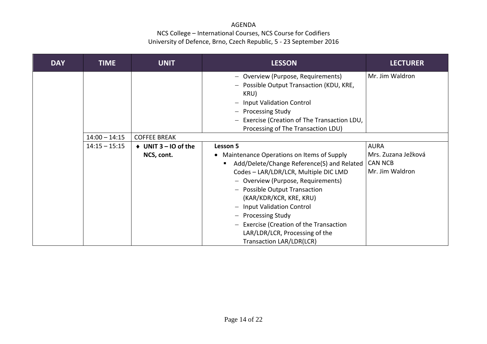| <b>DAY</b> | TIME            | <b>UNIT</b>                                      | <b>LESSON</b>                                                                                                                                                                                                                                                                                                                                                                                                                                       | <b>LECTURER</b>                                                         |
|------------|-----------------|--------------------------------------------------|-----------------------------------------------------------------------------------------------------------------------------------------------------------------------------------------------------------------------------------------------------------------------------------------------------------------------------------------------------------------------------------------------------------------------------------------------------|-------------------------------------------------------------------------|
|            |                 |                                                  | - Overview (Purpose, Requirements)<br>Possible Output Transaction (KDU, KRE,<br>$\qquad \qquad -$<br>KRU)<br><b>Input Validation Control</b><br>$\overline{\phantom{m}}$<br><b>Processing Study</b><br>Exercise (Creation of The Transaction LDU,<br>$\overline{\phantom{m}}$<br>Processing of The Transaction LDU)                                                                                                                                 | Mr. Jim Waldron                                                         |
|            | $14:00 - 14:15$ | <b>COFFEE BREAK</b>                              |                                                                                                                                                                                                                                                                                                                                                                                                                                                     |                                                                         |
|            | $14:15 - 15:15$ | $\triangleleft$ UNIT 3 – IO of the<br>NCS, cont. | Lesson 5<br>• Maintenance Operations on Items of Supply<br>Add/Delete/Change Reference(S) and Related<br>п<br>Codes - LAR/LDR/LCR, Multiple DIC LMD<br>- Overview (Purpose, Requirements)<br>- Possible Output Transaction<br>(KAR/KDR/KCR, KRE, KRU)<br>- Input Validation Control<br>- Processing Study<br><b>Exercise (Creation of the Transaction</b><br>$\overline{\phantom{m}}$<br>LAR/LDR/LCR, Processing of the<br>Transaction LAR/LDR(LCR) | <b>AURA</b><br>Mrs. Zuzana Ježková<br><b>CAN NCB</b><br>Mr. Jim Waldron |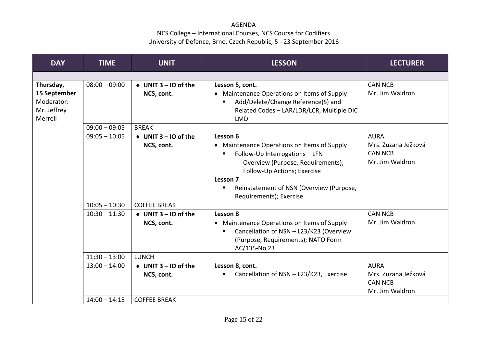| <b>DAY</b>                                                        | <b>TIME</b>                        | <b>UNIT</b>                                                             | <b>LESSON</b>                                                                                                                                                                                                                                                | <b>LECTURER</b>                                                         |
|-------------------------------------------------------------------|------------------------------------|-------------------------------------------------------------------------|--------------------------------------------------------------------------------------------------------------------------------------------------------------------------------------------------------------------------------------------------------------|-------------------------------------------------------------------------|
|                                                                   |                                    |                                                                         |                                                                                                                                                                                                                                                              |                                                                         |
| Thursday,<br>15 September<br>Moderator:<br>Mr. Jeffrey<br>Merrell | $08:00 - 09:00$                    | $\triangleleft$ UNIT 3 – IO of the<br>NCS, cont.                        | Lesson 5, cont.<br>• Maintenance Operations on Items of Supply<br>Add/Delete/Change Reference(S) and<br>п<br>Related Codes - LAR/LDR/LCR, Multiple DIC<br><b>LMD</b>                                                                                         | <b>CAN NCB</b><br>Mr. Jim Waldron                                       |
|                                                                   | $09:00 - 09:05$                    | <b>BREAK</b>                                                            |                                                                                                                                                                                                                                                              |                                                                         |
|                                                                   | $09:05 - 10:05$<br>$10:05 - 10:30$ | $\triangleleft$ UNIT 3 – IO of the<br>NCS, cont.<br><b>COFFEE BREAK</b> | Lesson 6<br>• Maintenance Operations on Items of Supply<br>Follow-Up Interrogations - LFN<br>п<br>- Overview (Purpose, Requirements);<br>Follow-Up Actions; Exercise<br>Lesson 7<br>Reinstatement of NSN (Overview (Purpose,<br>п<br>Requirements); Exercise | <b>AURA</b><br>Mrs. Zuzana Ježková<br><b>CAN NCB</b><br>Mr. Jim Waldron |
|                                                                   | $10:30 - 11:30$                    | $\triangleleft$ UNIT 3 – 10 of the<br>NCS, cont.                        | Lesson 8<br>• Maintenance Operations on Items of Supply<br>Cancellation of NSN - L23/K23 (Overview<br>(Purpose, Requirements); NATO Form<br>AC/135-No 23                                                                                                     | <b>CAN NCB</b><br>Mr. Jim Waldron                                       |
|                                                                   | $11:30 - 13:00$                    | <b>LUNCH</b>                                                            |                                                                                                                                                                                                                                                              |                                                                         |
|                                                                   | $13:00 - 14:00$                    | $\triangleleft$ UNIT 3 – IO of the<br>NCS, cont.                        | Lesson 8, cont.<br>Cancellation of NSN - L23/K23, Exercise<br>п                                                                                                                                                                                              | <b>AURA</b><br>Mrs. Zuzana Ježková<br><b>CAN NCB</b><br>Mr. Jim Waldron |
|                                                                   | $14:00 - 14:15$                    | <b>COFFEE BREAK</b>                                                     |                                                                                                                                                                                                                                                              |                                                                         |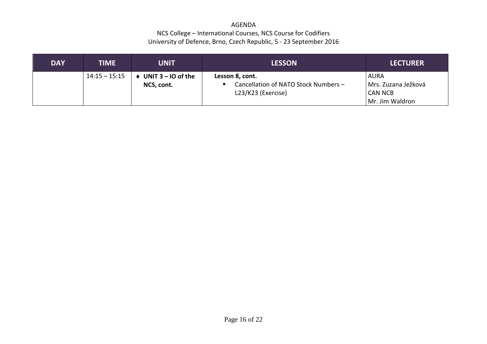| <b>DAY</b> | TIME            | <b>UNIT</b>                        | <b>LESSON</b>                                                                 | <b>LECTURER</b>                                                           |
|------------|-----------------|------------------------------------|-------------------------------------------------------------------------------|---------------------------------------------------------------------------|
|            | $14:15 - 15:15$ | UNIT $3 - 10$ of the<br>NCS, cont. | Lesson 8, cont.<br>Cancellation of NATO Stock Numbers -<br>L23/K23 (Exercise) | <b>AURA</b><br>  Mrs. Zuzana Ježková<br><b>CAN NCB</b><br>Mr. Jim Waldron |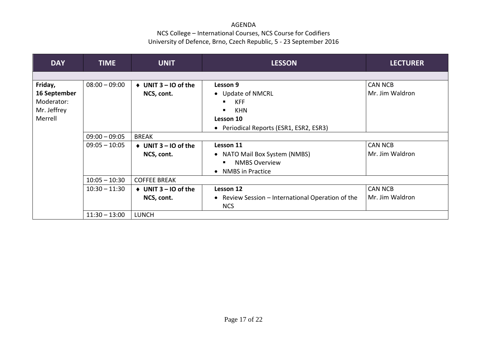| <b>DAY</b>   | <b>TIME</b>     | <b>UNIT</b>                        | <b>LESSON</b>                                     | <b>LECTURER</b> |
|--------------|-----------------|------------------------------------|---------------------------------------------------|-----------------|
|              |                 |                                    |                                                   |                 |
| Friday,      | $08:00 - 09:00$ | $\triangleleft$ UNIT 3 – IO of the | Lesson 9                                          | <b>CAN NCB</b>  |
| 16 September |                 | NCS, cont.                         | • Update of NMCRL                                 | Mr. Jim Waldron |
| Moderator:   |                 |                                    | <b>KFF</b><br>٠                                   |                 |
| Mr. Jeffrey  |                 |                                    | <b>KHN</b>                                        |                 |
| Merrell      |                 |                                    | Lesson 10                                         |                 |
|              |                 |                                    | • Periodical Reports (ESR1, ESR2, ESR3)           |                 |
|              | $09:00 - 09:05$ | <b>BREAK</b>                       |                                                   |                 |
|              | $09:05 - 10:05$ | $\triangleleft$ UNIT 3 – 10 of the | Lesson 11                                         | <b>CAN NCB</b>  |
|              |                 | NCS, cont.                         | • NATO Mail Box System (NMBS)                     | Mr. Jim Waldron |
|              |                 |                                    | <b>NMBS Overview</b><br>п                         |                 |
|              |                 |                                    | <b>NMBS</b> in Practice<br>$\bullet$              |                 |
|              | $10:05 - 10:30$ | <b>COFFEE BREAK</b>                |                                                   |                 |
|              | $10:30 - 11:30$ | $\triangleleft$ UNIT 3 – 10 of the | Lesson 12                                         | <b>CAN NCB</b>  |
|              |                 | NCS, cont.                         | • Review Session – International Operation of the | Mr. Jim Waldron |
|              |                 |                                    | <b>NCS</b>                                        |                 |
|              | $11:30 - 13:00$ | <b>LUNCH</b>                       |                                                   |                 |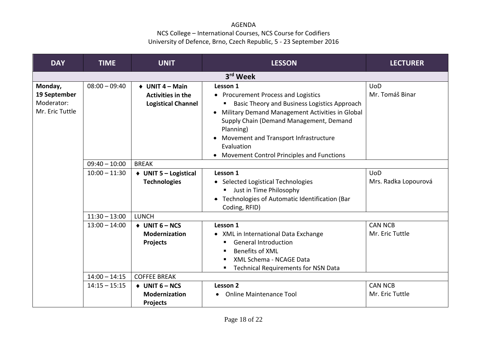| <b>DAY</b>                                               | <b>TIME</b>          | <b>UNIT</b>                                                                            | <b>LESSON</b>                                                                                                                                                                                                                                                                                                                      | <b>LECTURER</b>                    |  |
|----------------------------------------------------------|----------------------|----------------------------------------------------------------------------------------|------------------------------------------------------------------------------------------------------------------------------------------------------------------------------------------------------------------------------------------------------------------------------------------------------------------------------------|------------------------------------|--|
|                                                          | 3 <sup>rd</sup> Week |                                                                                        |                                                                                                                                                                                                                                                                                                                                    |                                    |  |
| Monday,<br>19 September<br>Moderator:<br>Mr. Eric Tuttle | $08:00 - 09:40$      | $\triangleleft$ UNIT 4 – Main<br><b>Activities in the</b><br><b>Logistical Channel</b> | Lesson 1<br>• Procurement Process and Logistics<br>Basic Theory and Business Logistics Approach<br>Military Demand Management Activities in Global<br>Supply Chain (Demand Management, Demand<br>Planning)<br>Movement and Transport Infrastructure<br>Evaluation<br><b>Movement Control Principles and Functions</b><br>$\bullet$ | <b>UoD</b><br>Mr. Tomáš Binar      |  |
|                                                          | $09:40 - 10:00$      | <b>BREAK</b>                                                                           |                                                                                                                                                                                                                                                                                                                                    |                                    |  |
|                                                          | $10:00 - 11:30$      | ♦ UNIT 5 - Logistical<br><b>Technologies</b>                                           | Lesson 1<br>• Selected Logistical Technologies<br>Just in Time Philosophy<br>• Technologies of Automatic Identification (Bar<br>Coding, RFID)                                                                                                                                                                                      | <b>UoD</b><br>Mrs. Radka Lopourová |  |
|                                                          | $11:30 - 13:00$      | <b>LUNCH</b>                                                                           |                                                                                                                                                                                                                                                                                                                                    |                                    |  |
|                                                          | $13:00 - 14:00$      | $+$ UNIT 6 – NCS<br><b>Modernization</b><br><b>Projects</b>                            | Lesson 1<br>• XML in International Data Exchange<br><b>General Introduction</b><br><b>Benefits of XML</b><br>XML Schema - NCAGE Data<br><b>Technical Requirements for NSN Data</b>                                                                                                                                                 | <b>CAN NCB</b><br>Mr. Eric Tuttle  |  |
|                                                          | $14:00 - 14:15$      | <b>COFFEE BREAK</b>                                                                    |                                                                                                                                                                                                                                                                                                                                    |                                    |  |
|                                                          | $14:15 - 15:15$      | $+$ UNIT 6 – NCS<br><b>Modernization</b><br><b>Projects</b>                            | Lesson 2<br><b>Online Maintenance Tool</b><br>$\bullet$                                                                                                                                                                                                                                                                            | <b>CAN NCB</b><br>Mr. Eric Tuttle  |  |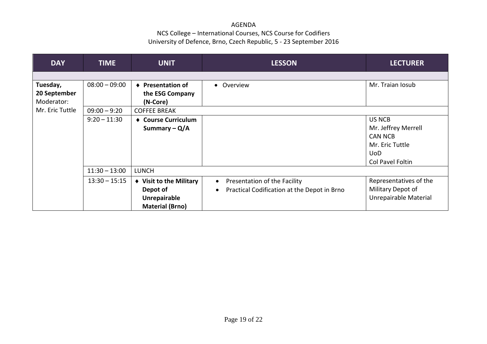| <b>DAY</b>      | <b>TIME</b>     | <b>UNIT</b>             | <b>LESSON</b>                                            | <b>LECTURER</b>        |
|-----------------|-----------------|-------------------------|----------------------------------------------------------|------------------------|
|                 |                 |                         |                                                          |                        |
| Tuesday,        | $08:00 - 09:00$ | ♦ Presentation of       | Overview<br>$\bullet$                                    | Mr. Traian Iosub       |
| 20 September    |                 | the ESG Company         |                                                          |                        |
| Moderator:      |                 | (N-Core)                |                                                          |                        |
| Mr. Eric Tuttle | $09:00 - 9:20$  | <b>COFFEE BREAK</b>     |                                                          |                        |
|                 | $9:20 - 11:30$  | ♦ Course Curriculum     |                                                          | <b>US NCB</b>          |
|                 |                 | Summary $-Q/A$          |                                                          | Mr. Jeffrey Merrell    |
|                 |                 |                         |                                                          | <b>CAN NCB</b>         |
|                 |                 |                         |                                                          | Mr. Eric Tuttle        |
|                 |                 |                         |                                                          | <b>UoD</b>             |
|                 |                 |                         |                                                          | Col Pavel Foltin       |
|                 | $11:30 - 13:00$ | <b>LUNCH</b>            |                                                          |                        |
|                 | $13:30 - 15:15$ | ♦ Visit to the Military | Presentation of the Facility<br>$\bullet$                | Representatives of the |
|                 |                 | Depot of                | Practical Codification at the Depot in Brno<br>$\bullet$ | Military Depot of      |
|                 |                 | Unrepairable            |                                                          | Unrepairable Material  |
|                 |                 | <b>Material (Brno)</b>  |                                                          |                        |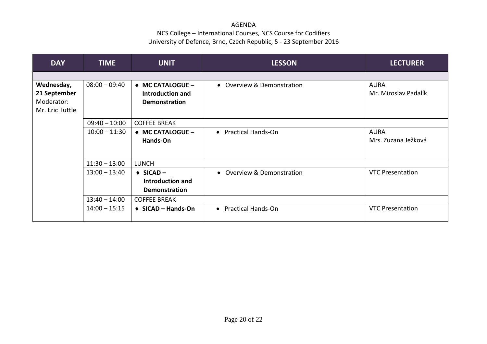| <b>DAY</b>      | <b>TIME</b>     | <b>UNIT</b>                      | <b>LESSON</b>              | <b>LECTURER</b>         |
|-----------------|-----------------|----------------------------------|----------------------------|-------------------------|
|                 |                 |                                  |                            |                         |
| Wednesday,      | $08:00 - 09:40$ | ◆ MC CATALOGUE -                 | • Overview & Demonstration | <b>AURA</b>             |
| 21 September    |                 | Introduction and                 |                            | Mr. Miroslav Padalík    |
| Moderator:      |                 | <b>Demonstration</b>             |                            |                         |
| Mr. Eric Tuttle |                 |                                  |                            |                         |
|                 | $09:40 - 10:00$ | <b>COFFEE BREAK</b>              |                            |                         |
|                 | $10:00 - 11:30$ | ◆ MC CATALOGUE -                 | • Practical Hands-On       | <b>AURA</b>             |
|                 |                 | Hands-On                         |                            | Mrs. Zuzana Ježková     |
|                 |                 |                                  |                            |                         |
|                 | $11:30 - 13:00$ | <b>LUNCH</b>                     |                            |                         |
|                 | $13:00 - 13:40$ | $\triangleleft$ SICAD –          | • Overview & Demonstration | <b>VTC Presentation</b> |
|                 |                 | Introduction and                 |                            |                         |
|                 |                 | <b>Demonstration</b>             |                            |                         |
|                 | $13:40 - 14:00$ | <b>COFFEE BREAK</b>              |                            |                         |
|                 | $14:00 - 15:15$ | $\triangleleft$ SICAD – Hands-On | • Practical Hands-On       | <b>VTC Presentation</b> |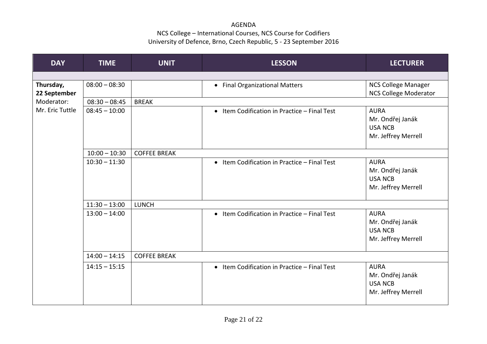| <b>DAY</b>                | <b>TIME</b>     | <b>UNIT</b>         | <b>LESSON</b>                                | <b>LECTURER</b>                                                          |
|---------------------------|-----------------|---------------------|----------------------------------------------|--------------------------------------------------------------------------|
|                           |                 |                     |                                              |                                                                          |
| Thursday,<br>22 September | $08:00 - 08:30$ |                     | • Final Organizational Matters               | NCS College Manager<br><b>NCS College Moderator</b>                      |
| Moderator:                | $08:30 - 08:45$ | <b>BREAK</b>        |                                              |                                                                          |
| Mr. Eric Tuttle           | $08:45 - 10:00$ |                     | • Item Codification in Practice - Final Test | <b>AURA</b><br>Mr. Ondřej Janák<br><b>USA NCB</b><br>Mr. Jeffrey Merrell |
|                           | $10:00 - 10:30$ | <b>COFFEE BREAK</b> |                                              |                                                                          |
|                           | $10:30 - 11:30$ |                     | • Item Codification in Practice - Final Test | <b>AURA</b><br>Mr. Ondřej Janák<br><b>USA NCB</b><br>Mr. Jeffrey Merrell |
|                           | $11:30 - 13:00$ | <b>LUNCH</b>        |                                              |                                                                          |
|                           | $13:00 - 14:00$ |                     | • Item Codification in Practice - Final Test | <b>AURA</b><br>Mr. Ondřej Janák<br><b>USA NCB</b><br>Mr. Jeffrey Merrell |
|                           | $14:00 - 14:15$ | <b>COFFEE BREAK</b> |                                              |                                                                          |
|                           | $14:15 - 15:15$ |                     | • Item Codification in Practice - Final Test | <b>AURA</b><br>Mr. Ondřej Janák<br><b>USA NCB</b><br>Mr. Jeffrey Merrell |